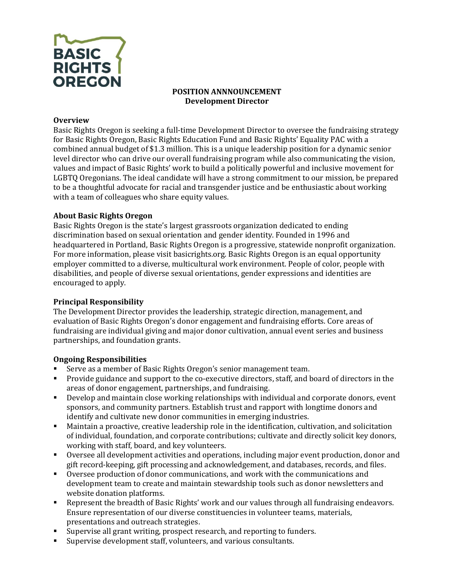

### **POSITION ANNNOUNCEMENT Development Director**

#### **Overview**

Basic Rights Oregon is seeking a full-time Development Director to oversee the fundraising strategy for Basic Rights Oregon, Basic Rights Education Fund and Basic Rights' Equality PAC with a combined annual budget of \$1.3 million. This is a unique leadership position for a dynamic senior level director who can drive our overall fundraising program while also communicating the vision, values and impact of Basic Rights' work to build a politically powerful and inclusive movement for LGBTQ Oregonians. The ideal candidate will have a strong commitment to our mission, be prepared to be a thoughtful advocate for racial and transgender justice and be enthusiastic about working with a team of colleagues who share equity values.

### **About Basic Rights Oregon**

Basic Rights Oregon is the state's largest grassroots organization dedicated to ending discrimination based on sexual orientation and gender identity. Founded in 1996 and headquartered in Portland, Basic Rights Oregon is a progressive, statewide nonprofit organization. For more information, please visit basicrights.org. Basic Rights Oregon is an equal opportunity employer committed to a diverse, multicultural work environment. People of color, people with disabilities, and people of diverse sexual orientations, gender expressions and identities are encouraged to apply.

### **Principal Responsibility**

The Development Director provides the leadership, strategic direction, management, and evaluation of Basic Rights Oregon's donor engagement and fundraising efforts. Core areas of fundraising are individual giving and major donor cultivation, annual event series and business partnerships, and foundation grants.

### **Ongoing Responsibilities**

- Serve as a member of Basic Rights Oregon's senior management team.
- Provide guidance and support to the co-executive directors, staff, and board of directors in the areas of donor engagement, partnerships, and fundraising.
- Develop and maintain close working relationships with individual and corporate donors, event sponsors, and community partners. Establish trust and rapport with longtime donors and identify and cultivate new donor communities in emerging industries.
- Maintain a proactive, creative leadership role in the identification, cultivation, and solicitation of individual, foundation, and corporate contributions; cultivate and directly solicit key donors, working with staff, board, and key volunteers.
- Oversee all development activities and operations, including major event production, donor and gift record-keeping, gift processing and acknowledgement, and databases, records, and files.
- Oversee production of donor communications, and work with the communications and development team to create and maintain stewardship tools such as donor newsletters and website donation platforms.
- Represent the breadth of Basic Rights' work and our values through all fundraising endeavors. Ensure representation of our diverse constituencies in volunteer teams, materials, presentations and outreach strategies.
- Supervise all grant writing, prospect research, and reporting to funders.
- Supervise development staff, volunteers, and various consultants.